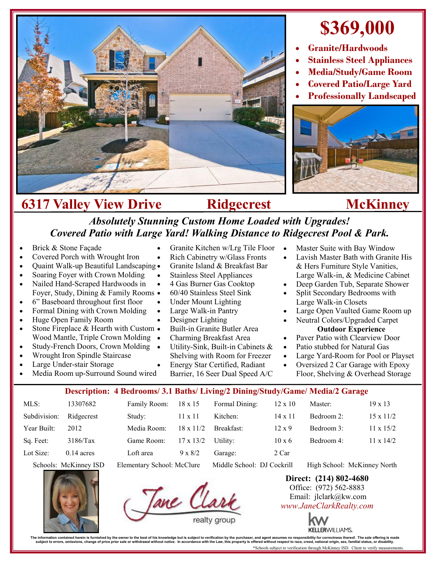

## **\$369,000**

- **Granite/Hardwoods**
- **Stainless Steel Appliances**
- **Media/Study/Game Room**
- **Covered Patio/Large Yard**
- **Professionally Landscaped**



## **6317 Valley View Drive Ridgecrest McKinney**

## *Absolutely Stunning Custom Home Loaded with Upgrades! Covered Patio with Large Yard! Walking Distance to Ridgecrest Pool & Park.*

- Brick & Stone Façade
- Covered Porch with Wrought Iron
- Quaint Walk-up Beautiful Landscaping
- Soaring Foyer with Crown Molding
- Nailed Hand-Scraped Hardwoods in Foyer, Study, Dining & Family Rooms
- 6" Baseboard throughout first floor
- Formal Dining with Crown Molding
- Huge Open Family Room
- Stone Fireplace & Hearth with Custom Wood Mantle, Triple Crown Molding •
- Study-French Doors, Crown Molding
- Wrought Iron Spindle Staircase
- Large Under-stair Storage
- Media Room up-Surround Sound wired
- Granite Kitchen w/Lrg Tile Floor
- Rich Cabinetry w/Glass Fronts
- Granite Island & Breakfast Bar
- Stainless Steel Appliances
- 4 Gas Burner Gas Cooktop 60/40 Stainless Steel Sink
- Under Mount Lighting
- Large Walk-in Pantry
- 
- Designer Lighting
- Built-in Granite Butler Area
- Charming Breakfast Area
- Utility-Sink, Built-in Cabinets &
- Shelving with Room for Freezer
- Energy Star Certified, Radiant Barrier, 16 Seer Dual Speed A/C
- Master Suite with Bay Window
- Lavish Master Bath with Granite His & Hers Furniture Style Vanities, Large Walk-in, & Medicine Cabinet
- Deep Garden Tub, Separate Shower
- Split Secondary Bedrooms with Large Walk-in Closets
- Large Open Vaulted Game Room up
- Neutral Colors/Upgraded Carpet **Outdoor Experience**
- Paver Patio with Clearview Door
	- Patio stubbed for Natural Gas
- Large Yard-Room for Pool or Playset
- Oversized 2 Car Garage with Epoxy Floor, Shelving & Overhead Storage
- **Description: 4 Bedrooms/ 3.1 Baths/ Living/2 Dining/Study/Game/ Media/2 Garage**

|              |                                   | $D$ coverposed to $D$ completely with $D$ and $\sum_{i=1}^{n}$ $\sum_{i=1}^{n}$ $\sum_{i=1}^{n}$ $\sum_{i=1}^{n}$ $\sum_{i=1}^{n}$ $\sum_{i=1}^{n}$ |                  |                            |                |                             |                  |
|--------------|-----------------------------------|-----------------------------------------------------------------------------------------------------------------------------------------------------|------------------|----------------------------|----------------|-----------------------------|------------------|
| MLS:         | 13307682                          | Family Room:                                                                                                                                        | $18 \times 15$   | Formal Dining:             | $12 \times 10$ | Master:                     | $19 \times 13$   |
| Subdivision: | Ridgecrest                        | Study:                                                                                                                                              | $11 \times 11$   | Kitchen:                   | $14 \times 11$ | Bedroom 2:                  | $15 \times 11/2$ |
| Year Built:  | 2012                              | Media Room:                                                                                                                                         | $18 \times 11/2$ | Breakfast:                 | $12 \times 9$  | Bedroom 3:                  | $11 \times 15/2$ |
| Sq. Feet:    | 3186/Tax                          | Game Room:                                                                                                                                          | $17 \times 13/2$ | Utility:                   | $10 \times 6$  | Bedroom 4:                  | $11 \times 14/2$ |
| Lot Size:    | $0.14$ acres                      | Loft area                                                                                                                                           | $9 \times 8/2$   | Garage:                    | 2 Car          |                             |                  |
|              | $Schode$ McKinney $\overline{SD}$ | $F$ lementary School: McClure                                                                                                                       |                  | Middle School: DI Cockrill |                | High School: McKinney North |                  |



**Direct: (214) 802-4680** Office: (972) 562-8883 Email: jlclark@kw.com *www.JaneClarkRealty.com*



The information contained heren is furnished by the owner to the best of his knowledge but is usuplect to verification by the purchaser, and agent assumes no responsibility for corrections then incompted in accordance with

- -
- 

School: McKinney North